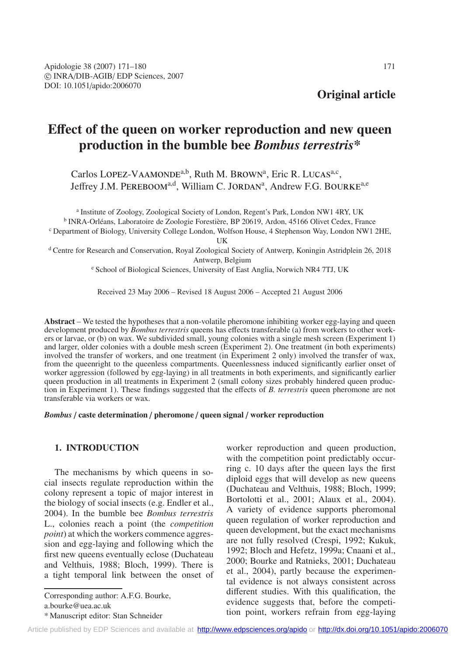# **E**ff**ect of the queen on worker reproduction and new queen production in the bumble bee** *Bombus terrestris***\***

Carlos LOPEZ-VAAMONDE<sup>a,b</sup>, Ruth M. BROWN<sup>a</sup>, Eric R. LUCAS<sup>a,c</sup>, Jeffrey J.M. PEREBOOM<sup>a,d</sup>, William C. JORDAN<sup>a</sup>, Andrew F.G. BOURKE<sup>a,e</sup>

<sup>a</sup> Institute of Zoology, Zoological Society of London, Regent's Park, London NW1 4RY, UK <sup>b</sup> INRA-Orléans, Laboratoire de Zoologie Forestière, BP 20619, Ardon, 45166 Olivet Cedex, France <sup>c</sup> Department of Biology, University College London, Wolfson House, 4 Stephenson Way, London NW1 2HE, UK

<sup>d</sup> Centre for Research and Conservation, Royal Zoological Society of Antwerp, Koningin Astridplein 26, 2018 Antwerp, Belgium

<sup>e</sup> School of Biological Sciences, University of East Anglia, Norwich NR4 7TJ, UK

Received 23 May 2006 – Revised 18 August 2006 – Accepted 21 August 2006

**Abstract** – We tested the hypotheses that a non-volatile pheromone inhibiting worker egg-laying and queen development produced by *Bombus terrestris* queens has effects transferable (a) from workers to other workers or larvae, or (b) on wax. We subdivided small, young colonies with a single mesh screen (Experiment 1) and larger, older colonies with a double mesh screen (Experiment 2). One treatment (in both experiments) involved the transfer of workers, and one treatment (in Experiment 2 only) involved the transfer of wax, from the queenright to the queenless compartments. Queenlessness induced significantly earlier onset of worker aggression (followed by egg-laying) in all treatments in both experiments, and significantly earlier queen production in all treatments in Experiment 2 (small colony sizes probably hindered queen production in Experiment 1). These findings suggested that the effects of *B. terrestris* queen pheromone are not transferable via workers or wax.

*Bombus* / **caste determination** / **pheromone** / **queen signal** / **worker reproduction**

# **1. INTRODUCTION**

The mechanisms by which queens in social insects regulate reproduction within the colony represent a topic of major interest in the biology of social insects (e.g. Endler et al., 2004). In the bumble bee *Bombus terrestris* L., colonies reach a point (the *competition point*) at which the workers commence aggression and egg-laying and following which the first new queens eventually eclose (Duchateau and Velthuis, 1988; Bloch, 1999). There is a tight temporal link between the onset of

Corresponding author: A.F.G. Bourke,

worker reproduction and queen production, with the competition point predictably occurring c. 10 days after the queen lays the first diploid eggs that will develop as new queens (Duchateau and Velthuis, 1988; Bloch, 1999; Bortolotti et al., 2001; Alaux et al., 2004). A variety of evidence supports pheromonal queen regulation of worker reproduction and queen development, but the exact mechanisms are not fully resolved (Crespi, 1992; Kukuk, 1992; Bloch and Hefetz, 1999a; Cnaani et al., 2000; Bourke and Ratnieks, 2001; Duchateau et al., 2004), partly because the experimental evidence is not always consistent across different studies. With this qualification, the evidence suggests that, before the competition point, workers refrain from egg-laying

a.bourke@uea.ac.uk

<sup>\*</sup> Manuscript editor: Stan Schneider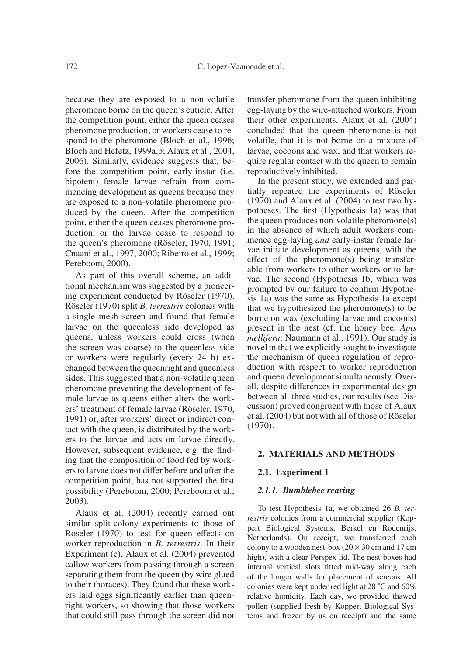because they are exposed to a non-volatile pheromone borne on the queen's cuticle. After the competition point, either the queen ceases pheromone production, or workers cease to respond to the pheromone (Bloch et al., 1996; Bloch and Hefetz, 1999a,b; Alaux et al., 2004, 2006). Similarly, evidence suggests that, before the competition point, early-instar (i.e. bipotent) female larvae refrain from commencing development as queens because they are exposed to a non-volatile pheromone produced by the queen. After the competition point, either the queen ceases pheromone production, or the larvae cease to respond to the queen's pheromone (Röseler, 1970, 1991; Cnaani et al., 1997, 2000; Ribeiro et al., 1999; Pereboom, 2000).

As part of this overall scheme, an additional mechanism was suggested by a pioneering experiment conducted by Röseler (1970). Röseler (1970) split *B. terrestris* colonies with a single mesh screen and found that female larvae on the queenless side developed as queens, unless workers could cross (when the screen was coarse) to the queenless side or workers were regularly (every 24 h) exchanged between the queenright and queenless sides. This suggested that a non-volatile queen pheromone preventing the development of female larvae as queens either alters the workers' treatment of female larvae (Röseler, 1970, 1991) or, after workers' direct or indirect contact with the queen, is distributed by the workers to the larvae and acts on larvae directly. However, subsequent evidence, e.g. the finding that the composition of food fed by workers to larvae does not differ before and after the competition point, has not supported the first possibility (Pereboom, 2000; Pereboom et al., 2003).

Alaux et al. (2004) recently carried out similar split-colony experiments to those of Röseler (1970) to test for queen effects on worker reproduction in *B. terrestris*. In their Experiment (c), Alaux et al. (2004) prevented callow workers from passing through a screen separating them from the queen (by wire glued to their thoraces). They found that these workers laid eggs significantly earlier than queenright workers, so showing that those workers that could still pass through the screen did not transfer pheromone from the queen inhibiting egg-laying by the wire-attached workers. From their other experiments, Alaux et al. (2004) concluded that the queen pheromone is not volatile, that it is not borne on a mixture of larvae, cocoons and wax, and that workers require regular contact with the queen to remain reproductively inhibited.

In the present study, we extended and partially repeated the experiments of Röseler (1970) and Alaux et al. (2004) to test two hypotheses. The first (Hypothesis 1a) was that the queen produces non-volatile pheromone(s) in the absence of which adult workers commence egg-laying *and* early-instar female larvae initiate development as queens, with the effect of the pheromone(s) being transferable from workers to other workers or to larvae. The second (Hypothesis 1b, which was prompted by our failure to confirm Hypothesis 1a) was the same as Hypothesis 1a except that we hypothesized the pheromone(s) to be borne on wax (excluding larvae and cocoons) present in the nest (cf. the honey bee, *Apis mellifera*: Naumann et al., 1991). Our study is novel in that we explicitly sought to investigate the mechanism of queen regulation of reproduction with respect to worker reproduction and queen development simultaneously. Overall, despite differences in experimental design between all three studies, our results (see Discussion) proved congruent with those of Alaux et al. (2004) but not with all of those of Röseler (1970).

# **2. MATERIALS AND METHODS**

## **2.1. Experiment 1**

## *2.1.1. Bumblebee rearing*

To test Hypothesis 1a, we obtained 26 *B. terrestris* colonies from a commercial supplier (Koppert Biological Systems, Berkel en Rodenrijs, Netherlands). On receipt, we transferred each colony to a wooden nest-box  $(20 \times 30 \text{ cm and } 17 \text{ cm})$ high), with a clear Perspex lid. The nest-boxes had internal vertical slots fitted mid-way along each of the longer walls for placement of screens. All colonies were kept under red light at 28 ˚C and 60% relative humidity. Each day, we provided thawed pollen (supplied fresh by Koppert Biological Systems and frozen by us on receipt) and the same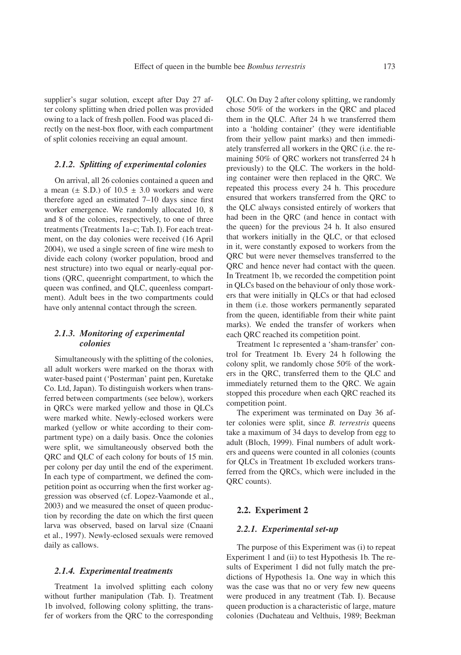supplier's sugar solution, except after Day 27 after colony splitting when dried pollen was provided owing to a lack of fresh pollen. Food was placed directly on the nest-box floor, with each compartment of split colonies receiving an equal amount.

# *2.1.2. Splitting of experimental colonies*

On arrival, all 26 colonies contained a queen and a mean  $(\pm$  S.D.) of 10.5  $\pm$  3.0 workers and were therefore aged an estimated 7–10 days since first worker emergence. We randomly allocated 10, 8 and 8 of the colonies, respectively, to one of three treatments (Treatments 1a–c; Tab. I). For each treatment, on the day colonies were received (16 April 2004), we used a single screen of fine wire mesh to divide each colony (worker population, brood and nest structure) into two equal or nearly-equal portions (QRC, queenright compartment, to which the queen was confined, and QLC, queenless compartment). Adult bees in the two compartments could have only antennal contact through the screen.

# *2.1.3. Monitoring of experimental colonies*

Simultaneously with the splitting of the colonies, all adult workers were marked on the thorax with water-based paint ('Posterman' paint pen, Kuretake Co. Ltd, Japan). To distinguish workers when transferred between compartments (see below), workers in QRCs were marked yellow and those in QLCs were marked white. Newly-eclosed workers were marked (yellow or white according to their compartment type) on a daily basis. Once the colonies were split, we simultaneously observed both the QRC and QLC of each colony for bouts of 15 min. per colony per day until the end of the experiment. In each type of compartment, we defined the competition point as occurring when the first worker aggression was observed (cf. Lopez-Vaamonde et al., 2003) and we measured the onset of queen production by recording the date on which the first queen larva was observed, based on larval size (Cnaani et al., 1997). Newly-eclosed sexuals were removed daily as callows.

#### *2.1.4. Experimental treatments*

Treatment 1a involved splitting each colony without further manipulation (Tab. I). Treatment 1b involved, following colony splitting, the transfer of workers from the QRC to the corresponding QLC. On Day 2 after colony splitting, we randomly chose 50% of the workers in the QRC and placed them in the QLC. After 24 h we transferred them into a 'holding container' (they were identifiable from their yellow paint marks) and then immediately transferred all workers in the QRC (i.e. the remaining 50% of QRC workers not transferred 24 h previously) to the QLC. The workers in the holding container were then replaced in the QRC. We repeated this process every 24 h. This procedure ensured that workers transferred from the QRC to the QLC always consisted entirely of workers that had been in the QRC (and hence in contact with the queen) for the previous 24 h. It also ensured that workers initially in the QLC, or that eclosed in it, were constantly exposed to workers from the QRC but were never themselves transferred to the QRC and hence never had contact with the queen. In Treatment 1b, we recorded the competition point in QLCs based on the behaviour of only those workers that were initially in QLCs or that had eclosed in them (i.e. those workers permanently separated from the queen, identifiable from their white paint marks). We ended the transfer of workers when each QRC reached its competition point.

Treatment 1c represented a 'sham-transfer' control for Treatment 1b. Every 24 h following the colony split, we randomly chose 50% of the workers in the QRC, transferred them to the QLC and immediately returned them to the QRC. We again stopped this procedure when each QRC reached its competition point.

The experiment was terminated on Day 36 after colonies were split, since *B. terrestris* queens take a maximum of 34 days to develop from egg to adult (Bloch, 1999). Final numbers of adult workers and queens were counted in all colonies (counts for QLCs in Treatment 1b excluded workers transferred from the QRCs, which were included in the QRC counts).

#### **2.2. Experiment 2**

# *2.2.1. Experimental set-up*

The purpose of this Experiment was (i) to repeat Experiment 1 and (ii) to test Hypothesis 1b. The results of Experiment 1 did not fully match the predictions of Hypothesis 1a. One way in which this was the case was that no or very few new queens were produced in any treatment (Tab. I). Because queen production is a characteristic of large, mature colonies (Duchateau and Velthuis, 1989; Beekman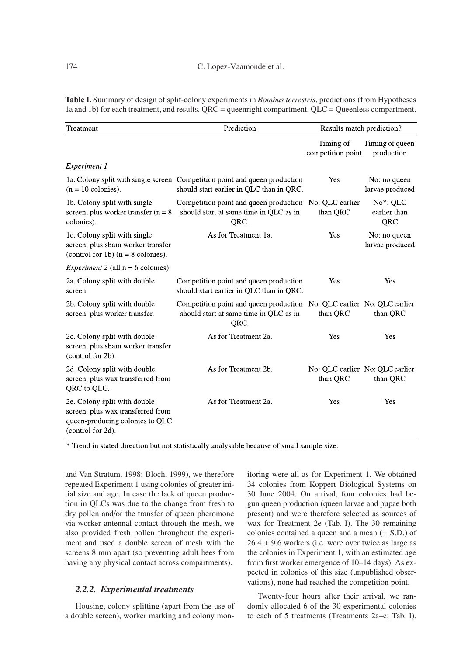**Table I.** Summary of design of split-colony experiments in *Bombus terrestris*, predictions (from Hypotheses 1a and 1b) for each treatment, and results. QRC = queenright compartment, QLC = Queenless compartment.

| Treatment                                                                                                                 | Prediction                                                                                                             | Results match prediction?                   |                                   |
|---------------------------------------------------------------------------------------------------------------------------|------------------------------------------------------------------------------------------------------------------------|---------------------------------------------|-----------------------------------|
|                                                                                                                           |                                                                                                                        | Timing of<br>competition point              | Timing of queen<br>production     |
| Experiment 1                                                                                                              |                                                                                                                        |                                             |                                   |
| $(n = 10$ colonies).                                                                                                      | 1a. Colony split with single screen Competition point and queen production<br>should start earlier in QLC than in QRC. | Yes                                         | No: no queen<br>larvae produced   |
| 1b. Colony split with single<br>screen, plus worker transfer $(n = 8)$<br>colonies).                                      | Competition point and queen production<br>should start at same time in QLC as in<br>QRC.                               | No: QLC earlier<br>than QRC                 | $No*: OLC$<br>earlier than<br>QRC |
| 1c. Colony split with single<br>screen, plus sham worker transfer<br>(control for 1b) $(n = 8$ colonies).                 | As for Treatment 1a.                                                                                                   | Yes                                         | No: no queen<br>larvae produced   |
| <i>Experiment 2</i> (all $n = 6$ colonies)                                                                                |                                                                                                                        |                                             |                                   |
| 2a. Colony split with double<br>screen.                                                                                   | Competition point and queen production<br>should start earlier in QLC than in QRC.                                     | Yes                                         | Yes                               |
| 2b. Colony split with double<br>screen, plus worker transfer.                                                             | Competition point and queen production<br>should start at same time in QLC as in<br>QRC.                               | No: QLC earlier No: QLC earlier<br>than QRC | than QRC                          |
| 2c. Colony split with double<br>screen, plus sham worker transfer<br>(control for 2b).                                    | As for Treatment 2a.                                                                                                   | Yes                                         | Yes                               |
| 2d. Colony split with double<br>screen, plus wax transferred from<br>QRC to QLC.                                          | As for Treatment 2b.                                                                                                   | No: QLC earlier No: QLC earlier<br>than QRC | than QRC                          |
| 2e. Colony split with double<br>screen, plus wax transferred from<br>queen-producing colonies to QLC<br>(control for 2d). | As for Treatment 2a.                                                                                                   | Yes                                         | Yes                               |

\* Trend in stated direction but not statistically analysable because of small sample size.

and Van Stratum, 1998; Bloch, 1999), we therefore repeated Experiment 1 using colonies of greater initial size and age. In case the lack of queen production in QLCs was due to the change from fresh to dry pollen and/or the transfer of queen pheromone via worker antennal contact through the mesh, we also provided fresh pollen throughout the experiment and used a double screen of mesh with the screens 8 mm apart (so preventing adult bees from having any physical contact across compartments).

#### *2.2.2. Experimental treatments*

Housing, colony splitting (apart from the use of a double screen), worker marking and colony monitoring were all as for Experiment 1. We obtained 34 colonies from Koppert Biological Systems on 30 June 2004. On arrival, four colonies had begun queen production (queen larvae and pupae both present) and were therefore selected as sources of wax for Treatment 2e (Tab. I). The 30 remaining colonies contained a queen and a mean  $(\pm S.D.)$  of  $26.4 \pm 9.6$  workers (i.e. were over twice as large as the colonies in Experiment 1, with an estimated age from first worker emergence of 10–14 days). As expected in colonies of this size (unpublished observations), none had reached the competition point.

Twenty-four hours after their arrival, we randomly allocated 6 of the 30 experimental colonies to each of 5 treatments (Treatments 2a–e; Tab. I).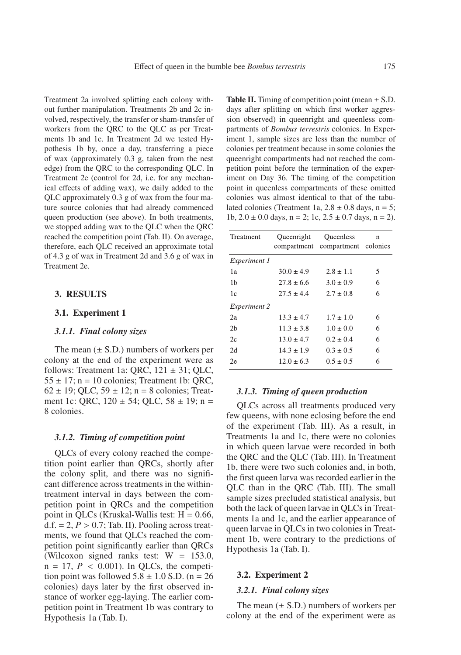Treatment 2a involved splitting each colony without further manipulation. Treatments 2b and 2c involved, respectively, the transfer or sham-transfer of workers from the QRC to the QLC as per Treatments 1b and 1c. In Treatment 2d we tested Hypothesis 1b by, once a day, transferring a piece of wax (approximately 0.3 g, taken from the nest edge) from the QRC to the corresponding QLC. In Treatment 2e (control for 2d, i.e. for any mechanical effects of adding wax), we daily added to the QLC approximately 0.3 g of wax from the four mature source colonies that had already commenced queen production (see above). In both treatments, we stopped adding wax to the QLC when the QRC reached the competition point (Tab. II). On average, therefore, each QLC received an approximate total of 4.3 g of wax in Treatment 2d and 3.6 g of wax in Treatment 2e.

# **3. RESULTS**

## **3.1. Experiment 1**

## *3.1.1. Final colony sizes*

The mean  $(\pm S.D.)$  numbers of workers per colony at the end of the experiment were as follows: Treatment 1a: QRC,  $121 \pm 31$ ; QLC,  $55 \pm 17$ ; n = 10 colonies; Treatment 1b: QRC,  $62 \pm 19$ ; OLC,  $59 \pm 12$ ; n = 8 colonies; Treatment 1c: QRC,  $120 \pm 54$ ; QLC,  $58 \pm 19$ ; n = 8 colonies.

## *3.1.2. Timing of competition point*

QLCs of every colony reached the competition point earlier than QRCs, shortly after the colony split, and there was no significant difference across treatments in the withintreatment interval in days between the competition point in QRCs and the competition point in QLCs (Kruskal-Wallis test:  $H = 0.66$ ,  $d.f. = 2, P > 0.7$ ; Tab. II). Pooling across treatments, we found that QLCs reached the competition point significantly earlier than QRCs (Wilcoxon signed ranks test:  $W = 153.0$ ,  $n = 17$ ,  $P < 0.001$ ). In QLCs, the competition point was followed  $5.8 \pm 1.0$  S.D. (n = 26) colonies) days later by the first observed instance of worker egg-laying. The earlier competition point in Treatment 1b was contrary to Hypothesis 1a (Tab. I).

**Table II.** Timing of competition point (mean  $\pm$  S.D. days after splitting on which first worker aggression observed) in queenright and queenless compartments of *Bombus terrestris* colonies. In Experiment 1, sample sizes are less than the number of colonies per treatment because in some colonies the queenright compartments had not reached the competition point before the termination of the experiment on Day 36. The timing of the competition point in queenless compartments of these omitted colonies was almost identical to that of the tabulated colonies (Treatment 1a,  $2.8 \pm 0.8$  days, n = 5; 1b,  $2.0 \pm 0.0$  days,  $n = 2$ ; 1c,  $2.5 \pm 0.7$  days,  $n = 2$ ).

| Treatment           | Queenright     | Oueenless<br>compartment compartment colonies | n |
|---------------------|----------------|-----------------------------------------------|---|
| Experiment 1        |                |                                               |   |
| 1a                  | $30.0 \pm 4.9$ | $2.8 \pm 1.1$                                 | 5 |
| 1b                  | $27.8 \pm 6.6$ | $3.0 \pm 0.9$                                 | 6 |
| 1c                  | $27.5 \pm 4.4$ | $2.7 \pm 0.8$                                 | 6 |
| <i>Experiment 2</i> |                |                                               |   |
| 2a                  | $13.3 \pm 4.7$ | $1.7 \pm 1.0$                                 | 6 |
| 2 <sub>b</sub>      | $11.3 \pm 3.8$ | $1.0 \pm 0.0$                                 | 6 |
| 2c                  | $13.0 \pm 4.7$ | $0.2 \pm 0.4$                                 | 6 |
| 2d                  | $14.3 \pm 1.9$ | $0.3 \pm 0.5$                                 | 6 |
| 2e                  | $12.0 \pm 6.3$ | $0.5 \pm 0.5$                                 | 6 |

# *3.1.3. Timing of queen production*

QLCs across all treatments produced very few queens, with none eclosing before the end of the experiment (Tab. III). As a result, in Treatments 1a and 1c, there were no colonies in which queen larvae were recorded in both the QRC and the QLC (Tab. III). In Treatment 1b, there were two such colonies and, in both, the first queen larva was recorded earlier in the QLC than in the QRC (Tab. III). The small sample sizes precluded statistical analysis, but both the lack of queen larvae in QLCs in Treatments 1a and 1c, and the earlier appearance of queen larvae in QLCs in two colonies in Treatment 1b, were contrary to the predictions of Hypothesis 1a (Tab. I).

#### **3.2. Experiment 2**

## *3.2.1. Final colony sizes*

The mean  $(\pm S.D.)$  numbers of workers per colony at the end of the experiment were as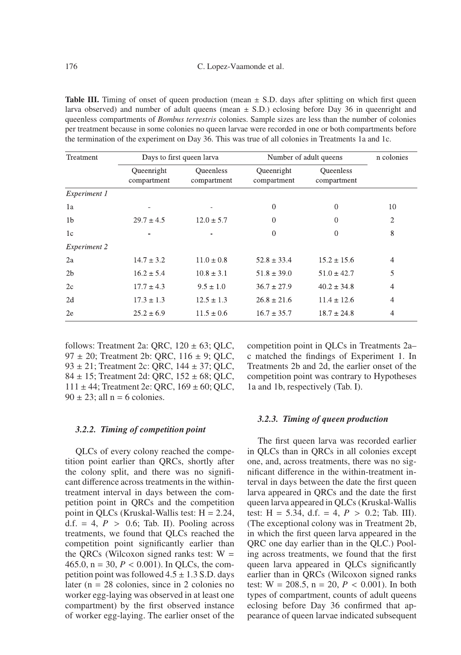**Table III.** Timing of onset of queen production (mean  $\pm$  S.D. days after splitting on which first queen larva observed) and number of adult queens (mean  $\pm$  S.D.) eclosing before Day 36 in queenright and queenless compartments of *Bombus terrestris* colonies. Sample sizes are less than the number of colonies per treatment because in some colonies no queen larvae were recorded in one or both compartments before the termination of the experiment on Day 36. This was true of all colonies in Treatments 1a and 1c.

| Treatment           | Days to first queen larva |                                 | Number of adult queens    |                                 | n colonies     |
|---------------------|---------------------------|---------------------------------|---------------------------|---------------------------------|----------------|
|                     | Queenright<br>compartment | <b>Oueenless</b><br>compartment | Queenright<br>compartment | <b>Oueenless</b><br>compartment |                |
| Experiment 1        |                           |                                 |                           |                                 |                |
| 1a                  |                           |                                 | $\theta$                  | $\Omega$                        | 10             |
| 1 <sub>b</sub>      | $29.7 \pm 4.5$            | $12.0 \pm 5.7$                  | $\Omega$                  | $\Omega$                        | $\overline{2}$ |
| 1c                  |                           |                                 | $\theta$                  | $\Omega$                        | 8              |
| <b>Experiment 2</b> |                           |                                 |                           |                                 |                |
| 2a                  | $14.7 \pm 3.2$            | $11.0 \pm 0.8$                  | $52.8 \pm 33.4$           | $15.2 \pm 15.6$                 | $\overline{4}$ |
| 2 <sub>b</sub>      | $16.2 \pm 5.4$            | $10.8 \pm 3.1$                  | $51.8 \pm 39.0$           | $51.0 \pm 42.7$                 | 5              |
| 2c                  | $17.7 \pm 4.3$            | $9.5 \pm 1.0$                   | $36.7 \pm 27.9$           | $40.2 \pm 34.8$                 | $\overline{4}$ |
| 2d                  | $17.3 \pm 1.3$            | $12.5 \pm 1.3$                  | $26.8 \pm 21.6$           | $11.4 \pm 12.6$                 | $\overline{4}$ |
| 2e                  | $25.2 \pm 6.9$            | $11.5 \pm 0.6$                  | $16.7 \pm 35.7$           | $18.7 \pm 24.8$                 | 4              |

follows: Treatment 2a: QRC,  $120 \pm 63$ ; QLC, 97 ± 20; Treatment 2b: QRC, 116 ± 9; QLC, 93 ± 21; Treatment 2c: QRC, 144 ± 37; QLC, 84  $\pm$  15; Treatment 2d: QRC, 152  $\pm$  68; QLC,  $111 \pm 44$ ; Treatment 2e: QRC,  $169 \pm 60$ ; QLC,  $90 \pm 23$ ; all n = 6 colonies.

## *3.2.2. Timing of competition point*

QLCs of every colony reached the competition point earlier than QRCs, shortly after the colony split, and there was no significant difference across treatments in the withintreatment interval in days between the competition point in QRCs and the competition point in QLCs (Kruskal-Wallis test:  $H = 2.24$ , d.f.  $= 4$ ,  $P > 0.6$ ; Tab. II). Pooling across treatments, we found that QLCs reached the competition point significantly earlier than the QRCs (Wilcoxon signed ranks test:  $W =$ 465.0,  $n = 30$ ,  $P < 0.001$ ). In QLCs, the competition point was followed  $4.5 \pm 1.3$  S.D. days later (n = 28 colonies, since in 2 colonies no worker egg-laying was observed in at least one compartment) by the first observed instance of worker egg-laying. The earlier onset of the competition point in QLCs in Treatments 2a– c matched the findings of Experiment 1. In Treatments 2b and 2d, the earlier onset of the competition point was contrary to Hypotheses 1a and 1b, respectively (Tab. I).

## *3.2.3. Timing of queen production*

The first queen larva was recorded earlier in QLCs than in QRCs in all colonies except one, and, across treatments, there was no significant difference in the within-treatment interval in days between the date the first queen larva appeared in QRCs and the date the first queen larva appeared in QLCs (Kruskal-Wallis test:  $H = 5.34$ , d.f. = 4,  $P > 0.2$ ; Tab. III). (The exceptional colony was in Treatment 2b, in which the first queen larva appeared in the QRC one day earlier than in the QLC.) Pooling across treatments, we found that the first queen larva appeared in QLCs significantly earlier than in QRCs (Wilcoxon signed ranks test:  $W = 208.5$ ,  $n = 20$ ,  $P < 0.001$ ). In both types of compartment, counts of adult queens eclosing before Day 36 confirmed that appearance of queen larvae indicated subsequent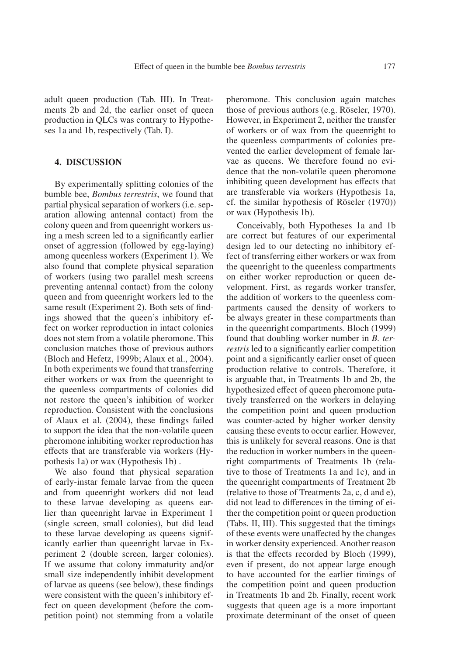adult queen production (Tab. III). In Treatments 2b and 2d, the earlier onset of queen production in QLCs was contrary to Hypotheses 1a and 1b, respectively (Tab. I).

# **4. DISCUSSION**

By experimentally splitting colonies of the bumble bee, *Bombus terrestris*, we found that partial physical separation of workers (i.e. separation allowing antennal contact) from the colony queen and from queenright workers using a mesh screen led to a significantly earlier onset of aggression (followed by egg-laying) among queenless workers (Experiment 1). We also found that complete physical separation of workers (using two parallel mesh screens preventing antennal contact) from the colony queen and from queenright workers led to the same result (Experiment 2). Both sets of findings showed that the queen's inhibitory effect on worker reproduction in intact colonies does not stem from a volatile pheromone. This conclusion matches those of previous authors (Bloch and Hefetz, 1999b; Alaux et al., 2004). In both experiments we found that transferring either workers or wax from the queenright to the queenless compartments of colonies did not restore the queen's inhibition of worker reproduction. Consistent with the conclusions of Alaux et al. (2004), these findings failed to support the idea that the non-volatile queen pheromone inhibiting worker reproduction has effects that are transferable via workers (Hypothesis 1a) or wax (Hypothesis 1b) .

We also found that physical separation of early-instar female larvae from the queen and from queenright workers did not lead to these larvae developing as queens earlier than queenright larvae in Experiment 1 (single screen, small colonies), but did lead to these larvae developing as queens significantly earlier than queenright larvae in Experiment 2 (double screen, larger colonies). If we assume that colony immaturity and/or small size independently inhibit development of larvae as queens (see below), these findings were consistent with the queen's inhibitory effect on queen development (before the competition point) not stemming from a volatile pheromone. This conclusion again matches those of previous authors (e.g. Röseler, 1970). However, in Experiment 2, neither the transfer of workers or of wax from the queenright to the queenless compartments of colonies prevented the earlier development of female larvae as queens. We therefore found no evidence that the non-volatile queen pheromone inhibiting queen development has effects that are transferable via workers (Hypothesis 1a, cf. the similar hypothesis of Röseler (1970)) or wax (Hypothesis 1b).

Conceivably, both Hypotheses 1a and 1b are correct but features of our experimental design led to our detecting no inhibitory effect of transferring either workers or wax from the queenright to the queenless compartments on either worker reproduction or queen development. First, as regards worker transfer, the addition of workers to the queenless compartments caused the density of workers to be always greater in these compartments than in the queenright compartments. Bloch (1999) found that doubling worker number in *B. terrestris* led to a significantly earlier competition point and a significantly earlier onset of queen production relative to controls. Therefore, it is arguable that, in Treatments 1b and 2b, the hypothesized effect of queen pheromone putatively transferred on the workers in delaying the competition point and queen production was counter-acted by higher worker density causing these events to occur earlier. However, this is unlikely for several reasons. One is that the reduction in worker numbers in the queenright compartments of Treatments 1b (relative to those of Treatments 1a and 1c), and in the queenright compartments of Treatment 2b (relative to those of Treatments 2a, c, d and e), did not lead to differences in the timing of either the competition point or queen production (Tabs. II, III). This suggested that the timings of these events were unaffected by the changes in worker density experienced. Another reason is that the effects recorded by Bloch (1999), even if present, do not appear large enough to have accounted for the earlier timings of the competition point and queen production in Treatments 1b and 2b. Finally, recent work suggests that queen age is a more important proximate determinant of the onset of queen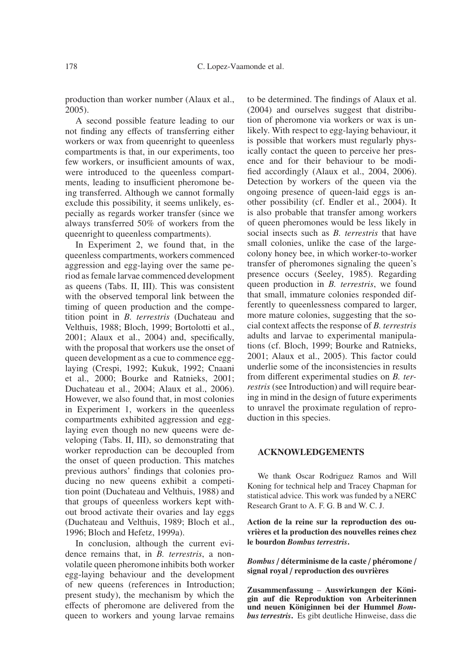production than worker number (Alaux et al., 2005).

A second possible feature leading to our not finding any effects of transferring either workers or wax from queenright to queenless compartments is that, in our experiments, too few workers, or insufficient amounts of wax, were introduced to the queenless compartments, leading to insufficient pheromone being transferred. Although we cannot formally exclude this possibility, it seems unlikely, especially as regards worker transfer (since we always transferred 50% of workers from the queenright to queenless compartments).

In Experiment 2, we found that, in the queenless compartments, workers commenced aggression and egg-laying over the same period as female larvae commenced development as queens (Tabs. II, III). This was consistent with the observed temporal link between the timing of queen production and the competition point in *B. terrestris* (Duchateau and Velthuis, 1988; Bloch, 1999; Bortolotti et al., 2001; Alaux et al., 2004) and, specifically, with the proposal that workers use the onset of queen development as a cue to commence egglaying (Crespi, 1992; Kukuk, 1992; Cnaani et al., 2000; Bourke and Ratnieks, 2001; Duchateau et al., 2004; Alaux et al., 2006). However, we also found that, in most colonies in Experiment 1, workers in the queenless compartments exhibited aggression and egglaying even though no new queens were developing (Tabs. II, III), so demonstrating that worker reproduction can be decoupled from the onset of queen production. This matches previous authors' findings that colonies producing no new queens exhibit a competition point (Duchateau and Velthuis, 1988) and that groups of queenless workers kept without brood activate their ovaries and lay eggs (Duchateau and Velthuis, 1989; Bloch et al., 1996; Bloch and Hefetz, 1999a).

In conclusion, although the current evidence remains that, in *B. terrestris*, a nonvolatile queen pheromone inhibits both worker egg-laying behaviour and the development of new queens (references in Introduction; present study), the mechanism by which the effects of pheromone are delivered from the queen to workers and young larvae remains to be determined. The findings of Alaux et al. (2004) and ourselves suggest that distribution of pheromone via workers or wax is unlikely. With respect to egg-laying behaviour, it is possible that workers must regularly physically contact the queen to perceive her presence and for their behaviour to be modified accordingly (Alaux et al., 2004, 2006). Detection by workers of the queen via the ongoing presence of queen-laid eggs is another possibility (cf. Endler et al., 2004). It is also probable that transfer among workers of queen pheromones would be less likely in social insects such as *B. terrestris* that have small colonies, unlike the case of the largecolony honey bee, in which worker-to-worker transfer of pheromones signaling the queen's presence occurs (Seeley, 1985). Regarding queen production in *B. terrestris*, we found that small, immature colonies responded differently to queenlessness compared to larger, more mature colonies, suggesting that the social context affects the response of *B. terrestris* adults and larvae to experimental manipulations (cf. Bloch, 1999; Bourke and Ratnieks, 2001; Alaux et al., 2005). This factor could underlie some of the inconsistencies in results from different experimental studies on *B. terrestris* (see Introduction) and will require bearing in mind in the design of future experiments to unravel the proximate regulation of reproduction in this species.

# **ACKNOWLEDGEMENTS**

We thank Oscar Rodriguez Ramos and Will Koning for technical help and Tracey Chapman for statistical advice. This work was funded by a NERC Research Grant to A. F. G. B and W. C. J.

**Action de la reine sur la reproduction des ouvrières et la production des nouvelles reines chez le bourdon** *Bombus terrestris***.**

*Bombus* / **déterminisme de la caste** / **phéromone** / **signal royal** / **reproduction des ouvrières**

**Zusammenfassung** – **Auswirkungen der Königin auf die Reproduktion von Arbeiterinnen und neuen Königinnen bei der Hummel** *Bombus terrestris***.** Es gibt deutliche Hinweise, dass die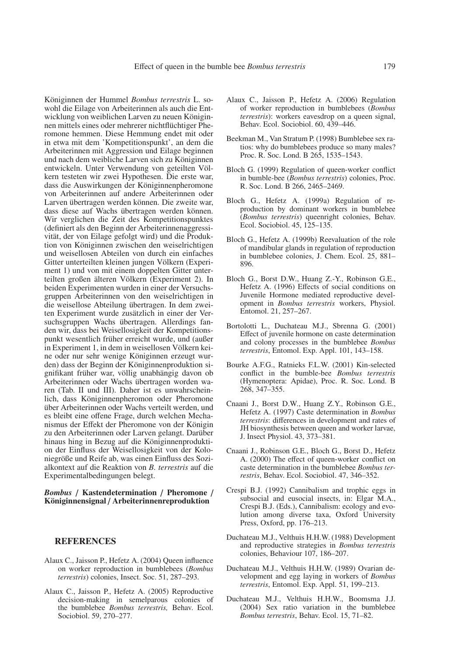Königinnen der Hummel *Bombus terrestris* L. sowohl die Eilage von Arbeiterinnen als auch die Entwicklung von weiblichen Larven zu neuen Königinnen mittels eines oder mehrerer nichtflüchtiger Pheromone hemmen. Diese Hemmung endet mit oder in etwa mit dem 'Kompetitionspunkt', an dem die Arbeiterinnen mit Aggression und Eilage beginnen und nach dem weibliche Larven sich zu Königinnen entwickeln. Unter Verwendung von geteilten Völkern testeten wir zwei Hypothesen. Die erste war, dass die Auswirkungen der Königinnenpheromone von Arbeiterinnen auf andere Arbeiterinnen oder Larven übertragen werden können. Die zweite war, dass diese auf Wachs übertragen werden können. Wir verglichen die Zeit des Kompetitionspunktes (definiert als den Beginn der Arbeiterinnenaggressivität, der von Eilage gefolgt wird) und die Produktion von Königinnen zwischen den weiselrichtigen und weisellosen Abteilen von durch ein einfaches Gitter unterteilten kleinen jungen Völkern (Experiment 1) und von mit einem doppelten Gitter unterteilten großen älteren Völkern (Experiment 2). In beiden Experimenten wurden in einer der Versuchsgruppen Arbeiterinnen von den weiselrichtigen in die weisellose Abteilung übertragen. In dem zweiten Experiment wurde zusätzlich in einer der Versuchsgruppen Wachs übertragen. Allerdings fanden wir, dass bei Weisellosigkeit der Kompetitionspunkt wesentlich früher erreicht wurde, und (außer in Experiment 1, in dem in weisellosen Völkern keine oder nur sehr wenige Königinnen erzeugt wurden) dass der Beginn der Königinnenproduktion signifikant früher war, völlig unabhängig davon ob Arbeiterinnen oder Wachs übertragen worden waren (Tab. II und III). Daher ist es unwahrscheinlich, dass Königinnenpheromon oder Pheromone über Arbeiterinnen oder Wachs verteilt werden, und es bleibt eine offene Frage, durch welchen Mechanismus der Effekt der Pheromone von der Königin zu den Arbeiterinnen oder Larven gelangt. Darüber hinaus hing in Bezug auf die Königinnenproduktion der Einfluss der Weisellosigkeit von der Koloniegröße und Reife ab, was einen Einfluss des Sozialkontext auf die Reaktion von *B. terrestris* auf die Experimentalbedingungen belegt.

#### *Bombus* / **Kastendetermination** / **Pheromone** / **Königinnensignal** / **Arbeiterinnenreproduktion**

#### **REFERENCES**

- Alaux C., Jaisson P., Hefetz A. (2004) Queen influence on worker reproduction in bumblebees (*Bombus terrestris*) colonies, Insect. Soc. 51, 287–293.
- Alaux C., Jaisson P., Hefetz A. (2005) Reproductive decision-making in semelparous colonies of the bumblebee *Bombus terrestris,* Behav. Ecol. Sociobiol. 59, 270–277.
- Alaux C., Jaisson P., Hefetz A. (2006) Regulation of worker reproduction in bumblebees (*Bombus terrestris*): workers eavesdrop on a queen signal, Behav. Ecol. Sociobiol. 60, 439–446.
- Beekman M., Van Stratum P. (1998) Bumblebee sex ratios: why do bumblebees produce so many males? Proc. R. Soc. Lond. B 265, 1535–1543.
- Bloch G. (1999) Regulation of queen-worker conflict in bumble-bee (*Bombus terrestris*) colonies, Proc. R. Soc. Lond. B 266, 2465–2469.
- Bloch G., Hefetz A. (1999a) Regulation of reproduction by dominant workers in bumblebee (*Bombus terrestris*) queenright colonies, Behav. Ecol. Sociobiol. 45, 125–135.
- Bloch G., Hefetz A. (1999b) Reevaluation of the role of mandibular glands in regulation of reproduction in bumblebee colonies, J. Chem. Ecol. 25, 881– 896.
- Bloch G., Borst D.W., Huang Z.-Y., Robinson G.E., Hefetz A. (1996) Effects of social conditions on Juvenile Hormone mediated reproductive development in *Bombus terrestris* workers, Physiol. Entomol. 21, 257–267.
- Bortolotti L., Duchateau M.J., Sbrenna G. (2001) Effect of juvenile hormone on caste determination and colony processes in the bumblebee *Bombus terrestris*, Entomol. Exp. Appl. 101, 143–158.
- Bourke A.F.G., Ratnieks F.L.W. (2001) Kin-selected conflict in the bumble-bee *Bombus terrestris* (Hymenoptera: Apidae), Proc. R. Soc. Lond. B 268, 347–355.
- Cnaani J., Borst D.W., Huang Z.Y., Robinson G.E., Hefetz A. (1997) Caste determination in *Bombus terrestris*: differences in development and rates of JH biosynthesis between queen and worker larvae, J. Insect Physiol. 43, 373–381.
- Cnaani J., Robinson G.E., Bloch G., Borst D., Hefetz A. (2000) The effect of queen-worker conflict on caste determination in the bumblebee *Bombus terrestris*, Behav. Ecol. Sociobiol. 47, 346–352.
- Crespi B.J. (1992) Cannibalism and trophic eggs in subsocial and eusocial insects, in: Elgar M.A., Crespi B.J. (Eds.), Cannibalism: ecology and evolution among diverse taxa, Oxford University Press, Oxford, pp. 176–213.
- Duchateau M.J., Velthuis H.H.W. (1988) Development and reproductive strategies in *Bombus terrestris* colonies, Behaviour 107, 186–207.
- Duchateau M.J., Velthuis H.H.W. (1989) Ovarian development and egg laying in workers of *Bombus terrestris*, Entomol. Exp. Appl. 51, 199–213.
- Duchateau M.J., Velthuis H.H.W., Boomsma J.J. (2004) Sex ratio variation in the bumblebee *Bombus terrestris*, Behav. Ecol. 15, 71–82.